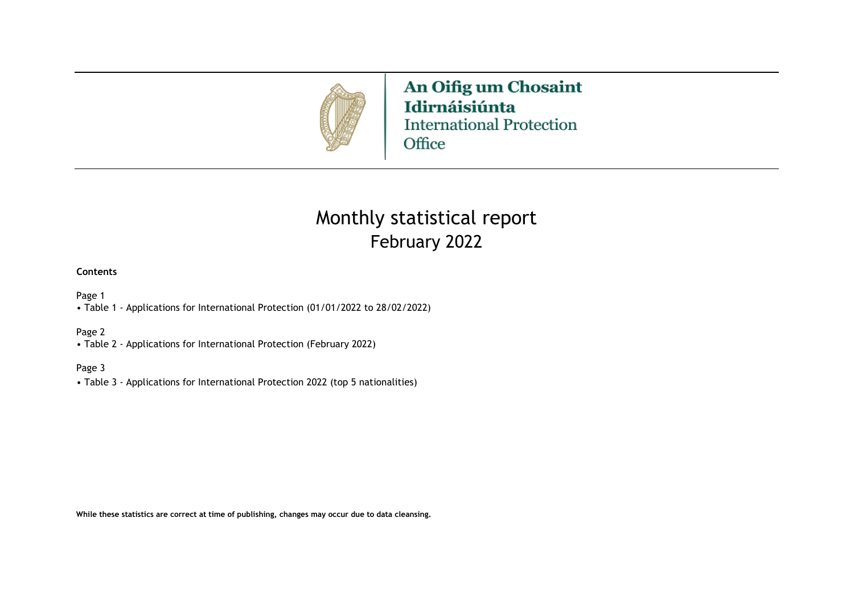

An Oifig um Chosaint Idirnáisiúnta **International Protection** Office

# February 2022 Monthly statistical report

#### **Contents**

Page 1

• Table 1 - Applications for International Protection (01/01/2022 to 28/02/2022)

#### Page 2

• Table 2 - Applications for International Protection (February 2022)

#### Page 3

• Table 3 - Applications for International Protection 2022 (top 5 nationalities)

**While these statistics are correct at time of publishing, changes may occur due to data cleansing.**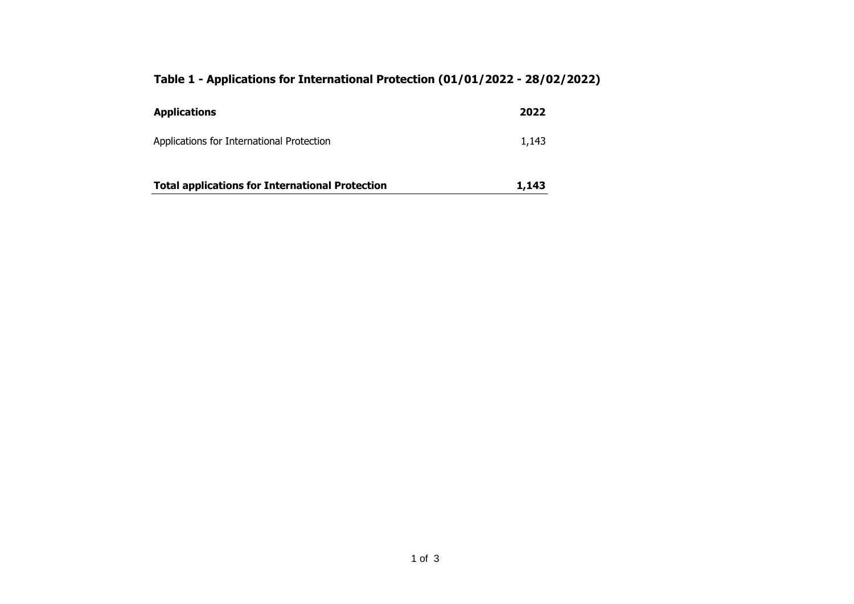## **Table 1 - Applications for International Protection (01/01/2022 - 28/02/2022)**

| <b>Applications</b>                                    | 2022  |
|--------------------------------------------------------|-------|
| Applications for International Protection              | 1,143 |
| <b>Total applications for International Protection</b> | 1,143 |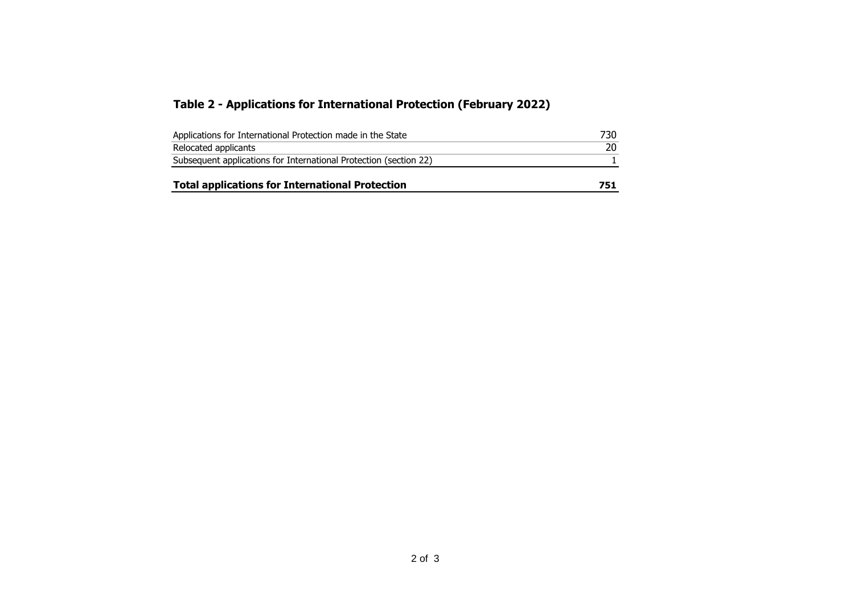### **Table 2 - Applications for International Protection (February 2022)**

| <b>Total applications for International Protection</b>            | 751 |
|-------------------------------------------------------------------|-----|
| Subsequent applications for International Protection (section 22) |     |
| Relocated applicants                                              |     |
| Applications for International Protection made in the State       | 730 |